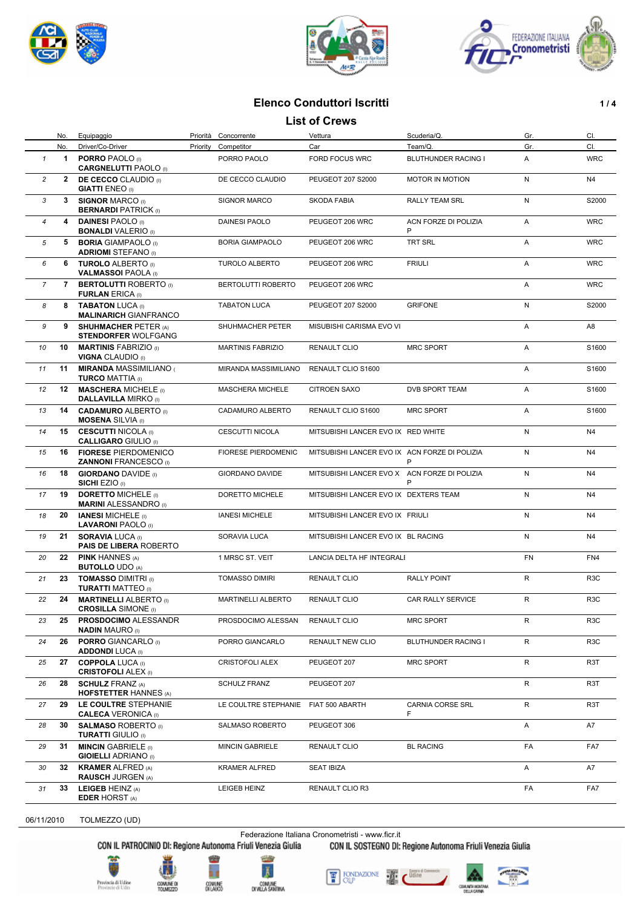





# **Elenco Conduttori Iscritti 1/4**

#### **List of Crews**

|                | No.         | Equipaggio                                                  |          | Priorità Concorrente       | Vettura                                       | Scuderia/Q.               | Gr.       | CI.              |
|----------------|-------------|-------------------------------------------------------------|----------|----------------------------|-----------------------------------------------|---------------------------|-----------|------------------|
|                | No.         | Driver/Co-Driver                                            | Priority | Competitor                 | Car                                           | Team/Q.                   | Gr.       | CI.              |
| $\mathbf{1}$   | $\mathbf 1$ | <b>PORRO PAOLO</b> (I)<br><b>CARGNELUTTI PAOLO</b> (I)      |          | PORRO PAOLO                | FORD FOCUS WRC                                | BLUTHUNDER RACING I       | Α         | <b>WRC</b>       |
| $\overline{c}$ |             | 2 DE CECCO CLAUDIO (I)<br><b>GIATTI ENEO</b> (I)            |          | DE CECCO CLAUDIO           | PEUGEOT 207 S2000                             | <b>MOTOR IN MOTION</b>    | N         | N <sub>4</sub>   |
| 3              | 3           | <b>SIGNOR MARCO (I)</b><br><b>BERNARDI PATRICK (I)</b>      |          | <b>SIGNOR MARCO</b>        | SKODA FABIA                                   | <b>RALLY TEAM SRL</b>     | N         | S2000            |
| $\overline{4}$ |             | 4 DAINESI PAOLO (I)<br><b>BONALDI VALERIO</b> (I)           |          | <b>DAINESI PAOLO</b>       | PEUGEOT 206 WRC                               | ACN FORZE DI POLIZIA<br>P | A         | <b>WRC</b>       |
| 5              | 5           | <b>BORIA GIAMPAOLO</b> (i)<br><b>ADRIOMI</b> STEFANO (I)    |          | <b>BORIA GIAMPAOLO</b>     | PEUGEOT 206 WRC                               | TRT SRL                   | A         | <b>WRC</b>       |
| 6              |             | 6 TUROLO ALBERTO (I)<br><b>VALMASSOI PAOLA (I)</b>          |          | <b>TUROLO ALBERTO</b>      | PEUGEOT 206 WRC                               | <b>FRIULI</b>             | A         | <b>WRC</b>       |
| $\overline{7}$ |             | <b>7 BERTOLUTTI ROBERTO</b> (i)<br><b>FURLAN ERICA (I)</b>  |          | BERTOLUTTI ROBERTO         | PEUGEOT 206 WRC                               |                           | A         | <b>WRC</b>       |
| 8              | 8           | <b>TABATON LUCA (I)</b><br><b>MALINARICH GIANFRANCO</b>     |          | <b>TABATON LUCA</b>        | PEUGEOT 207 S2000                             | <b>GRIFONE</b>            | N         | S2000            |
| 9              | 9           | <b>SHUHMACHER PETER (A)</b><br><b>STENDORFER WOLFGANG</b>   |          | SHUHMACHER PETER           | MISUBISHI CARISMA EVO VI                      |                           | A         | A8               |
| 10             | 10          | <b>MARTINIS FABRIZIO</b> (I)<br><b>VIGNA CLAUDIO</b> (I)    |          | <b>MARTINIS FABRIZIO</b>   | <b>RENAULT CLIO</b>                           | <b>MRC SPORT</b>          | Α         | S1600            |
| 11             | 11          | <b>MIRANDA MASSIMILIANO</b><br><b>TURCO MATTIA (I)</b>      |          | MIRANDA MASSIMILIANO       | RENAULT CLIO S1600                            |                           | A         | S1600            |
| 12             | 12          | <b>MASCHERA MICHELE</b> (I)<br><b>DALLAVILLA MIRKO</b> (I)  |          | <b>MASCHERA MICHELE</b>    | <b>CITROEN SAXO</b>                           | DVB SPORT TEAM            | A         | S1600            |
| 13             | 14          | <b>CADAMURO ALBERTO</b> (I)<br><b>MOSENA</b> SILVIA (I)     |          | CADAMURO ALBERTO           | RENAULT CLIO S1600                            | <b>MRC SPORT</b>          | Α         | S1600            |
| 14             | 15          | <b>CESCUTTI NICOLA</b> (I)<br><b>CALLIGARO GIULIO (I)</b>   |          | <b>CESCUTTI NICOLA</b>     | MITSUBISHI LANCER EVO IX RED WHITE            |                           | N         | N4               |
| 15             | 16          | <b>FIORESE PIERDOMENICO</b><br><b>ZANNONI FRANCESCO</b> (I) |          | <b>FIORESE PIERDOMENIC</b> | MITSUBISHI LANCER EVO IX ACN FORZE DI POLIZIA | P                         | N         | N <sub>4</sub>   |
| 16             | 18          | <b>GIORDANO DAVIDE</b> (I)<br><b>SICHI EZIO</b> (I)         |          | <b>GIORDANO DAVIDE</b>     | MITSUBISHI LANCER EVO X ACN FORZE DI POLIZIA  | P                         | N         | N4               |
| 17             | 19          | <b>DORETTO MICHELE (I)</b><br><b>MARINI ALESSANDRO</b> (I)  |          | DORETTO MICHELE            | MITSUBISHI LANCER EVO IX DEXTERS TEAM         |                           | N         | N4               |
| 18             | 20          | <b>IANESI MICHELE</b> (I)<br><b>LAVARONI PAOLO</b> (I)      |          | <b>IANESI MICHELE</b>      | MITSUBISHI LANCER EVO IX FRIULI               |                           | N         | N4               |
| 19             | 21          | <b>SORAVIA LUCA (I)</b><br><b>PAIS DE LIBERA ROBERTO</b>    |          | SORAVIA LUCA               | MITSUBISHI LANCER EVO IX BL RACING            |                           | N         | N <sub>4</sub>   |
| 20             | 22          | <b>PINK HANNES (A)</b><br><b>BUTOLLO UDO (A)</b>            |          | 1 MRSC ST. VEIT            | LANCIA DELTA HF INTEGRALI                     |                           | <b>FN</b> | FN4              |
| 21             | 23          | <b>TOMASSO DIMITRI</b> (I)<br><b>TURATTI MATTEO</b> (I)     |          | <b>TOMASSO DIMIRI</b>      | RENAULT CLIO                                  | <b>RALLY POINT</b>        | R         | R <sub>3</sub> C |
| 22             | 24          | <b>MARTINELLI ALBERTO</b> (I)<br><b>CROSILLA SIMONE</b> (I) |          | MARTINELLI ALBERTO         | RENAULT CLIO                                  | CAR RALLY SERVICE         | R         | R <sub>3</sub> C |
| 23             | 25          | <b>PROSDOCIMO ALESSANDR</b><br><b>NADIN MAURO (I)</b>       |          | PROSDOCIMO ALESSAN         | RENAULT CLIO                                  | <b>MRC SPORT</b>          | R         | R <sub>3</sub> C |
| 24             | 26          | <b>PORRO</b> GIANCARLO (I)<br><b>ADDONDI LUCA (I)</b>       |          | PORRO GIANCARLO            | RENAULT NEW CLIO                              | BLUTHUNDER RACING I       | R         | R <sub>3</sub> C |
| 25             | 27          | <b>COPPOLA LUCA (I)</b><br><b>CRISTOFOLI ALEX (I)</b>       |          | <b>CRISTOFOLI ALEX</b>     | PEUGEOT 207                                   | <b>MRC SPORT</b>          | R         | R3T              |
| 26             | 28          | <b>SCHULZ FRANZ (A)</b><br><b>HOFSTETTER HANNES (A)</b>     |          | <b>SCHULZ FRANZ</b>        | PEUGEOT 207                                   |                           | R         | R3T              |
| 27             | 29          | LE COULTRE STEPHANIE<br><b>CALECA VERONICA</b> (I)          |          | LE COULTRE STEPHANIE       | FIAT 500 ABARTH                               | CARNIA CORSE SRL<br>F.    | R         | R3T              |
| 28             | 30          | <b>SALMASO ROBERTO</b> (I)<br><b>TURATTI GIULIO</b> (I)     |          | SALMASO ROBERTO            | PEUGEOT 306                                   |                           | A         | A7               |
| 29             | 31          | <b>MINCIN GABRIELE</b> (i)<br><b>GIOIELLI ADRIANO</b> (I)   |          | <b>MINCIN GABRIELE</b>     | RENAULT CLIO                                  | <b>BL RACING</b>          | FA        | FA7              |
| 30             | 32          | <b>KRAMER ALFRED (A)</b><br><b>RAUSCH JURGEN (A)</b>        |          | KRAMER ALFRED              | SEAT IBIZA                                    |                           | Α         | A7               |
| 31             | 33          | LEIGEB HEINZ (A)<br><b>EDER HORST (A)</b>                   |          | LEIGEB HEINZ               | RENAULT CLIO R3                               |                           | FA        | FA7              |

06/11/2010 TOLMEZZO (UD)

Federazione Italiana Cronometristi - www.ficr.it<br>CON IL PATROCINIO DI: Regione Autonoma Friuli Venezia Giulia CON IL SOSTEGNO DI: Regione Autonoma Friuli Venezia Giulia











4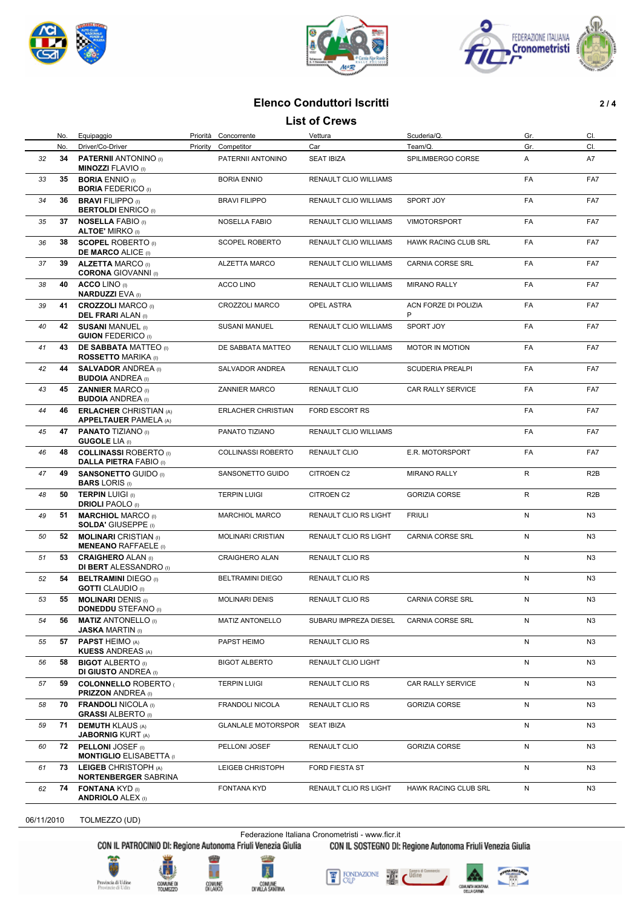





# **Elenco Conduttori Iscritti 2 / 4**

### **List of Crews**

|    | No. | Equipaggio                                                     |          | Priorità Concorrente      | Vettura                      | Scuderia/Q.                 | Gr. | CI.              |
|----|-----|----------------------------------------------------------------|----------|---------------------------|------------------------------|-----------------------------|-----|------------------|
|    | No. | Driver/Co-Driver                                               | Priority | Competitor                | Car                          | Team/Q.                     | Gr. | CI.              |
| 32 | 34  | <b>PATERNII ANTONINO</b> (i)<br><b>MINOZZI FLAVIO</b> (I)      |          | PATERNII ANTONINO         | <b>SEAT IBIZA</b>            | SPILIMBERGO CORSE           | A   | A7               |
| 33 | 35  | <b>BORIA ENNIO (I)</b><br><b>BORIA FEDERICO</b> (I)            |          | <b>BORIA ENNIO</b>        | <b>RENAULT CLIO WILLIAMS</b> |                             | FA  | FA7              |
| 34 | 36  | <b>BRAVI FILIPPO (I)</b><br><b>BERTOLDI</b> ENRICO (I)         |          | <b>BRAVI FILIPPO</b>      | RENAULT CLIO WILLIAMS        | SPORT JOY                   | FA  | FA7              |
| 35 | 37  | <b>NOSELLA FABIO (I)</b><br><b>ALTOE' MIRKO</b> (I)            |          | <b>NOSELLA FABIO</b>      | RENAULT CLIO WILLIAMS        | <b>VIMOTORSPORT</b>         | FA  | FA7              |
| 36 | 38  | <b>SCOPEL ROBERTO</b> (i)<br><b>DE MARCO ALICE (I)</b>         |          | SCOPEL ROBERTO            | <b>RENAULT CLIO WILLIAMS</b> | <b>HAWK RACING CLUB SRL</b> | FA  | FA7              |
| 37 | 39  | <b>ALZETTA MARCO (I)</b><br><b>CORONA GIOVANNI</b> (I)         |          | ALZETTA MARCO             | <b>RENAULT CLIO WILLIAMS</b> | <b>CARNIA CORSE SRL</b>     | FA  | FA7              |
| 38 | 40  | <b>ACCO LINO</b> (I)<br><b>NARDUZZI EVA (I)</b>                |          | ACCO LINO                 | RENAULT CLIO WILLIAMS        | <b>MIRANO RALLY</b>         | FA  | FA7              |
| 39 | 41  | <b>CROZZOLI MARCO (I)</b><br><b>DEL FRARI</b> ALAN (I)         |          | CROZZOLI MARCO            | OPEL ASTRA                   | ACN FORZE DI POLIZIA<br>P   | FA  | FA7              |
| 40 |     | 42 SUSANI MANUEL (I)<br><b>GUION FEDERICO</b> (i)              |          | <b>SUSANI MANUEL</b>      | RENAULT CLIO WILLIAMS        | SPORT JOY                   | FA  | FA7              |
| 41 | 43  | <b>DE SABBATA MATTEO</b> (i)<br><b>ROSSETTO MARIKA</b> (I)     |          | DE SABBATA MATTEO         | RENAULT CLIO WILLIAMS        | MOTOR IN MOTION             | FA  | FA7              |
| 42 | 44  | <b>SALVADOR ANDREA</b> (I)<br><b>BUDOIA ANDREA</b> (I)         |          | SALVADOR ANDREA           | RENAULT CLIO                 | <b>SCUDERIA PREALPI</b>     | FA  | FA7              |
| 43 | 45  | <b>ZANNIER MARCO (I)</b><br><b>BUDOIA ANDREA</b> (I)           |          | <b>ZANNIER MARCO</b>      | <b>RENAULT CLIO</b>          | <b>CAR RALLY SERVICE</b>    | FA  | FA7              |
| 44 | 46  | <b>ERLACHER CHRISTIAN (A)</b><br><b>APPELTAUER PAMELA (A)</b>  |          | ERLACHER CHRISTIAN        | FORD ESCORT RS               |                             | FA  | FA7              |
| 45 | 47  | <b>PANATO TIZIANO</b> (I)<br><b>GUGOLE LIA</b> (I)             |          | PANATO TIZIANO            | RENAULT CLIO WILLIAMS        |                             | FA  | FA7              |
| 46 | 48  | <b>COLLINASSI ROBERTO</b> (I)<br><b>DALLA PIETRA FABIO</b> (I) |          | <b>COLLINASSI ROBERTO</b> | <b>RENAULT CLIO</b>          | E.R. MOTORSPORT             | FA  | FA7              |
| 47 | 49  | <b>SANSONETTO GUIDO (I)</b><br><b>BARS LORIS</b> (I)           |          | SANSONETTO GUIDO          | <b>CITROEN C2</b>            | <b>MIRANO RALLY</b>         | R   | R <sub>2</sub> B |
| 48 | 50  | <b>TERPIN LUIGI (i)</b><br><b>DRIOLI PAOLO</b> (I)             |          | <b>TERPIN LUIGI</b>       | CITROEN C2                   | <b>GORIZIA CORSE</b>        | R   | R <sub>2</sub> B |
| 49 | 51  | <b>MARCHIOL MARCO (I)</b><br><b>SOLDA' GIUSEPPE (I)</b>        |          | <b>MARCHIOL MARCO</b>     | RENAULT CLIO RS LIGHT        | <b>FRIULI</b>               | N   | N <sub>3</sub>   |
| 50 | 52  | <b>MOLINARI</b> CRISTIAN (I)<br><b>MENEANO RAFFAELE</b> (i)    |          | <b>MOLINARI CRISTIAN</b>  | RENAULT CLIO RS LIGHT        | CARNIA CORSE SRL            | N   | N3               |
| 51 | 53  | <b>CRAIGHERO ALAN (I)</b><br><b>DI BERT</b> ALESSANDRO (I)     |          | <b>CRAIGHERO ALAN</b>     | <b>RENAULT CLIO RS</b>       |                             | N   | N <sub>3</sub>   |
| 52 | 54  | <b>BELTRAMINI DIEGO</b> (I)<br><b>GOTTI</b> CLAUDIO (I)        |          | <b>BELTRAMINI DIEGO</b>   | <b>RENAULT CLIO RS</b>       |                             | N   | N <sub>3</sub>   |
| 53 | 55  | <b>MOLINARI DENIS (I)</b><br><b>DONEDDU STEFANO (I)</b>        |          | <b>MOLINARI DENIS</b>     | <b>RENAULT CLIO RS</b>       | <b>CARNIA CORSE SRL</b>     | N   | N3               |
| 54 | 56  | <b>MATIZ ANTONELLO</b> (I)<br><b>JASKA MARTIN (I)</b>          |          | MATIZ ANTONELLO           | SUBARU IMPREZA DIESEL        | CARNIA CORSE SRL            | N   | N3               |
| 55 | 57  | <b>PAPST HEIMO (A)</b><br><b>KUESS ANDREAS (A)</b>             |          | PAPST HEIMO               | RENAULT CLIO RS              |                             | N   | N <sub>3</sub>   |
| 56 | 58  | <b>BIGOT ALBERTO</b> (I)<br><b>DI GIUSTO ANDREA (I)</b>        |          | <b>BIGOT ALBERTO</b>      | RENAULT CLIO LIGHT           |                             | N   | N <sub>3</sub>   |
| 57 | 59  | <b>COLONNELLO ROBERTO (</b><br><b>PRIZZON ANDREA (I)</b>       |          | <b>TERPIN LUIGI</b>       | RENAULT CLIO RS              | CAR RALLY SERVICE           | N   | N <sub>3</sub>   |
| 58 | 70  | <b>FRANDOLI NICOLA (I)</b><br><b>GRASSI ALBERTO</b> (I)        |          | FRANDOLI NICOLA           | RENAULT CLIO RS              | <b>GORIZIA CORSE</b>        | N   | N3               |
| 59 | 71  | <b>DEMUTH KLAUS (A)</b><br><b>JABORNIG KURT (A)</b>            |          | <b>GLANLALE MOTORSPOR</b> | <b>SEAT IBIZA</b>            |                             | N   | N <sub>3</sub>   |
| 60 | 72  | <b>PELLONI JOSEF</b> (i)<br><b>MONTIGLIO ELISABETTA</b> (I)    |          | PELLONI JOSEF             | <b>RENAULT CLIO</b>          | <b>GORIZIA CORSE</b>        | N   | N3               |
| 61 | 73  | LEIGEB CHRISTOPH (A)<br><b>NORTENBERGER SABRINA</b>            |          | LEIGEB CHRISTOPH          | FORD FIESTA ST               |                             | N   | N <sub>3</sub>   |
| 62 | 74  | <b>FONTANA KYD (I)</b><br><b>ANDRIOLO ALEX (I)</b>             |          | FONTANA KYD               | RENAULT CLIO RS LIGHT        | HAWK RACING CLUB SRL        | N   | N <sub>3</sub>   |

06/11/2010 TOLMEZZO (UD)

Federazione Italiana Cronometristi - www.ficr.it<br>CON IL PATROCINIO DI: Regione Autonoma Friuli Venezia Giulia CON IL SOSTEGNO DI: Regione Autonoma Friuli Venezia Giulia





COMUME D<br>TOUMEZZE







4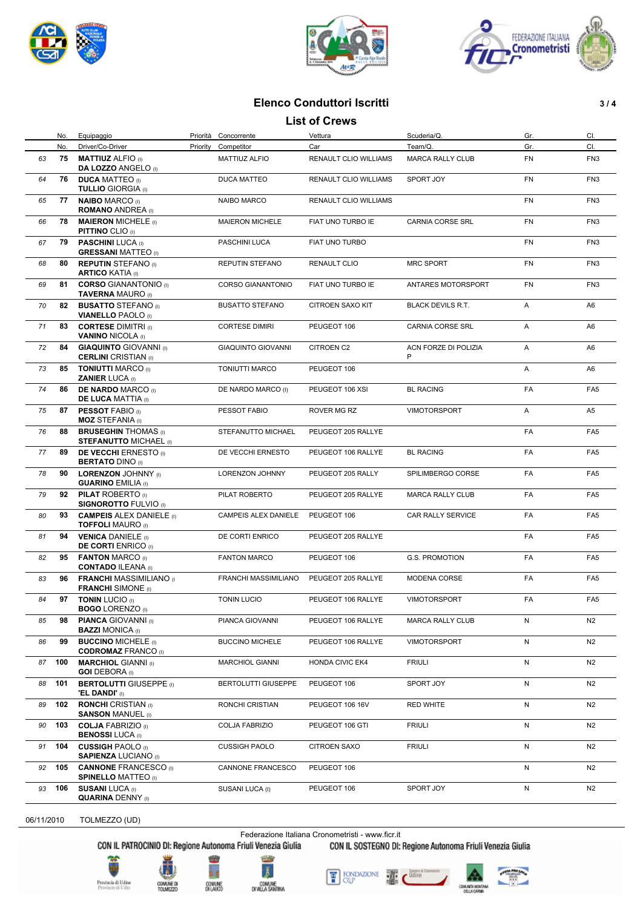





# **Elenco Conduttori Iscritti 3 / 4**

#### **List of Crews**

|    | No.<br>No. | Equipaggio<br>Driver/Co-Driver                               | Priority | Priorità Concorrente<br>Competitor | Vettura<br>Car               | Scuderia/Q.<br>Team/Q.    | Gr.<br>Gr. | CI.<br>CI.      |
|----|------------|--------------------------------------------------------------|----------|------------------------------------|------------------------------|---------------------------|------------|-----------------|
| 63 | 75         | <b>MATTIUZ ALFIO</b> (I)<br><b>DA LOZZO ANGELO (I)</b>       |          | MATTIUZ ALFIO                      | <b>RENAULT CLIO WILLIAMS</b> | <b>MARCA RALLY CLUB</b>   | FN         | FN <sub>3</sub> |
| 64 | 76         | <b>DUCA MATTEO</b> (i)<br><b>TULLIO GIORGIA (I)</b>          |          | <b>DUCA MATTEO</b>                 | RENAULT CLIO WILLIAMS        | SPORT JOY                 | <b>FN</b>  | FN <sub>3</sub> |
| 65 | 77         | <b>NAIBO MARCO (I)</b><br><b>ROMANO ANDREA</b> (I)           |          | <b>NAIBO MARCO</b>                 | RENAULT CLIO WILLIAMS        |                           | <b>FN</b>  | FN <sub>3</sub> |
| 66 | 78         | <b>MAIERON MICHELE (I)</b><br><b>PITTINO CLIO (I)</b>        |          | <b>MAIERON MICHELE</b>             | FIAT UNO TURBO IE            | CARNIA CORSE SRL          | FN         | FN <sub>3</sub> |
| 67 | 79         | <b>PASCHINI LUCA</b> (I)<br><b>GRESSANI MATTEO</b> (I)       |          | PASCHINI LUCA                      | FIAT UNO TURBO               |                           | FN         | FN <sub>3</sub> |
| 68 | 80         | <b>REPUTIN STEFANO</b> (I)<br><b>ARTICO KATIA (I)</b>        |          | REPUTIN STEFANO                    | RENAULT CLIO                 | <b>MRC SPORT</b>          | <b>FN</b>  | FN <sub>3</sub> |
| 69 | 81         | <b>CORSO GIANANTONIO (I)</b><br><b>TAVERNA MAURO (I)</b>     |          | <b>CORSO GIANANTONIO</b>           | FIAT UNO TURBO IE            | ANTARES MOTORSPORT        | FN         | FN <sub>3</sub> |
| 70 | 82         | <b>BUSATTO STEFANO</b> (I)<br><b>VIANELLO PAOLO</b> (I)      |          | <b>BUSATTO STEFANO</b>             | <b>CITROEN SAXO KIT</b>      | <b>BLACK DEVILS R.T.</b>  | A          | A6              |
| 71 | 83         | <b>CORTESE DIMITRI</b> (i)<br><b>VANINO NICOLA (I)</b>       |          | <b>CORTESE DIMIRI</b>              | PEUGEOT 106                  | CARNIA CORSE SRL          | A          | A6              |
| 72 | 84         | <b>GIAQUINTO GIOVANNI</b> (I)<br><b>CERLINI</b> CRISTIAN (I) |          | <b>GIAQUINTO GIOVANNI</b>          | CITROEN C2                   | ACN FORZE DI POLIZIA<br>P | Α          | A6              |
| 73 | 85         | <b>TONIUTTI MARCO (I)</b><br><b>ZANIER LUCA (I)</b>          |          | <b>TONIUTTI MARCO</b>              | PEUGEOT 106                  |                           | A          | A6              |
| 74 | 86         | <b>DE NARDO MARCO</b> (I)<br><b>DE LUCA MATTIA (I)</b>       |          | DE NARDO MARCO (I)                 | PEUGEOT 106 XSI              | <b>BL RACING</b>          | FA         | FA <sub>5</sub> |
| 75 | 87         | <b>PESSOT FABIO (I)</b><br><b>MOZ STEFANIA</b> (I)           |          | PESSOT FABIO                       | ROVER MG RZ                  | <b>VIMOTORSPORT</b>       | Α          | A5              |
| 76 | 88         | <b>BRUSEGHIN THOMAS</b> (I)<br><b>STEFANUTTO MICHAEL (I)</b> |          | STEFANUTTO MICHAEL                 | PEUGEOT 205 RALLYE           |                           | FA         | FA <sub>5</sub> |
| 77 | 89         | <b>DE VECCHI ERNESTO</b> (I)<br><b>BERTATO DINO</b> (I)      |          | DE VECCHI ERNESTO                  | PEUGEOT 106 RALLYE           | <b>BL RACING</b>          | FA         | FA <sub>5</sub> |
| 78 | 90         | <b>LORENZON JOHNNY</b> (I)<br><b>GUARINO EMILIA (I)</b>      |          | LORENZON JOHNNY                    | PEUGEOT 205 RALLY            | SPILIMBERGO CORSE         | FA         | FA <sub>5</sub> |
| 79 | 92         | <b>PILAT ROBERTO</b> (i)<br><b>SIGNOROTTO FULVIO</b> (I)     |          | PILAT ROBERTO                      | PEUGEOT 205 RALLYE           | <b>MARCA RALLY CLUB</b>   | FA         | FA <sub>5</sub> |
| 80 | 93         | <b>CAMPEIS ALEX DANIELE</b> (I)<br><b>TOFFOLI MAURO</b> (I)  |          | CAMPEIS ALEX DANIELE               | PEUGEOT 106                  | CAR RALLY SERVICE         | FA         | FA <sub>5</sub> |
| 81 | 94         | <b>VENICA DANIELE</b> (i)<br><b>DE CORTI ENRICO</b> (I)      |          | DE CORTI ENRICO                    | PEUGEOT 205 RALLYE           |                           | FA         | FA <sub>5</sub> |
| 82 | 95         | <b>FANTON MARCO (I)</b><br><b>CONTADO ILEANA (I)</b>         |          | <b>FANTON MARCO</b>                | PEUGEOT 106                  | G.S. PROMOTION            | FA         | FA <sub>5</sub> |
| 83 | 96         | <b>FRANCHI MASSIMILIANO</b> (I)<br><b>FRANCHI</b> SIMONE (I) |          | FRANCHI MASSIMILIANO               | PEUGEOT 205 RALLYE           | MODENA CORSE              | FA         | FA <sub>5</sub> |
| 84 | 97         | <b>TONIN LUCIO (I)</b><br><b>BOGO LORENZO (I)</b>            |          | <b>TONIN LUCIO</b>                 | PEUGEOT 106 RALLYE           | <b>VIMOTORSPORT</b>       | FA         | FA <sub>5</sub> |
| 85 | 98         | <b>PIANCA GIOVANNI</b> (I)<br><b>BAZZI MONICA (I)</b>        |          | PIANCA GIOVANNI                    | PEUGEOT 106 RALLYE           | <b>MARCA RALLY CLUB</b>   | N          | N <sub>2</sub>  |
| 86 | 99         | <b>BUCCINO MICHELE</b> (i)<br><b>CODROMAZ FRANCO (I)</b>     |          | <b>BUCCINO MICHELE</b>             | PEUGEOT 106 RALLYE           | <b>VIMOTORSPORT</b>       | N          | N <sub>2</sub>  |
| 87 | 100        | <b>MARCHIOL GIANNI</b> (I)<br><b>GOI DEBORA</b> (I)          |          | <b>MARCHIOL GIANNI</b>             | <b>HONDA CIVIC EK4</b>       | <b>FRIULI</b>             | N          | N <sub>2</sub>  |
| 88 | 101        | <b>BERTOLUTTI GIUSEPPE (I)</b><br><b>'EL DANDI'</b> (I)      |          | <b>BERTOLUTTI GIUSEPPE</b>         | PEUGEOT 106                  | SPORT JOY                 | N          | N <sub>2</sub>  |
| 89 | 102        | <b>RONCHI</b> CRISTIAN (I)<br><b>SANSON MANUEL (I)</b>       |          | RONCHI CRISTIAN                    | PEUGEOT 106 16V              | <b>RED WHITE</b>          | N          | N2              |
| 90 | 103        | <b>COLJA FABRIZIO</b> (I)<br><b>BENOSSI LUCA (I)</b>         |          | COLJA FABRIZIO                     | PEUGEOT 106 GTI              | <b>FRIULI</b>             | N          | N2              |
| 91 | 104        | <b>CUSSIGH PAOLO (I)</b><br><b>SAPIENZA LUCIANO (I)</b>      |          | <b>CUSSIGH PAOLO</b>               | CITROEN SAXO                 | <b>FRIULI</b>             | N          | N <sub>2</sub>  |
| 92 | 105        | <b>CANNONE FRANCESCO</b> (I)<br><b>SPINELLO MATTEO (I)</b>   |          | CANNONE FRANCESCO                  | PEUGEOT 106                  |                           | N          | N <sub>2</sub>  |
| 93 | 106        | <b>SUSANI LUCA (I)</b><br><b>QUARINA DENNY (I)</b>           |          | SUSANI LUCA (I)                    | PEUGEOT 106                  | SPORT JOY                 | N          | N <sub>2</sub>  |

06/11/2010 TOLMEZZO (UD)

Federazione Italiana Cronometristi - www.ficr.it<br>CON IL PATROCINIO DI: Regione Autonoma Friuli Venezia Giulia CON IL SOSTEGNO DI: Regione Autonoma Friuli Venezia Giulia





'n







4